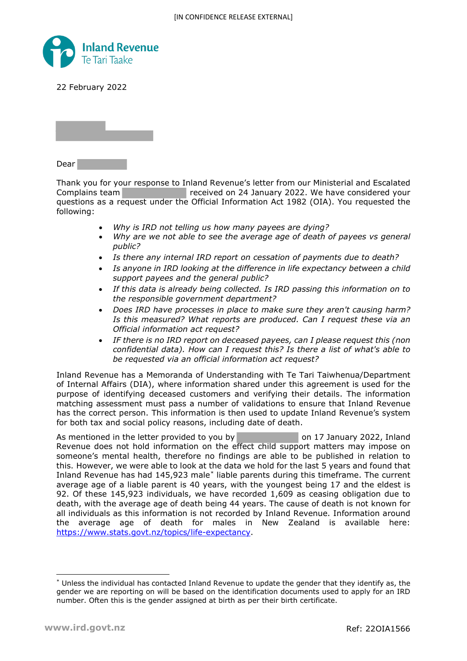

22 February 2022



Dear

Thank you for your response to Inland Revenue's letter from our Ministerial and Escalated Complains team **received on 24 January 2022. We have considered your** questions as a request under the Official Information Act 1982 (OIA). You requested the following:

- *Why is IRD not telling us how many payees are dying?*
- *Why are we not able to see the average age of death of payees vs general public?*
- *Is there any internal IRD report on cessation of payments due to death?*
- *Is anyone in IRD looking at the difference in life expectancy between a child support payees and the general public?*
- *If this data is already being collected. Is IRD passing this information on to the responsible government department?*
- *Does IRD have processes in place to make sure they aren't causing harm? Is this measured? What reports are produced. Can I request these via an Official information act request?*
- *IF there is no IRD report on deceased payees, can I please request this (non confidential data). How can I request this? Is there a list of what's able to be requested via an official information act request?*

Inland Revenue has a Memoranda of Understanding with Te Tari Taiwhenua/Department of Internal Affairs (DIA), where information shared under this agreement is used for the purpose of identifying deceased customers and verifying their details. The information matching assessment must pass a number of validations to ensure that Inland Revenue has the correct person. This information is then used to update Inland Revenue's system for both tax and social policy reasons, including date of death.

As mentioned in the letter provided to you by on 17 January 2022, Inland Revenue does not hold information on the effect child support matters may impose on someone's mental health, therefore no findings are able to be published in relation to this. However, we were able to look at the data we hold for the last 5 years and found that Inland Revenue has had 145,923 male[\\*](#page-0-0) liable parents during this timeframe. The current average age of a liable parent is 40 years, with the youngest being 17 and the eldest is 92. Of these 145,923 individuals, we have recorded 1,609 as ceasing obligation due to death, with the average age of death being 44 years. The cause of death is not known for all individuals as this information is not recorded by Inland Revenue. Information around the average age of death for males in New Zealand is available here: [https://www.stats.govt.nz/topics/life-expectancy.](https://www.stats.govt.nz/topics/life-expectancy)

<span id="page-0-0"></span><sup>\*</sup> Unless the individual has contacted Inland Revenue to update the gender that they identify as, the gender we are reporting on will be based on the identification documents used to apply for an IRD number. Often this is the gender assigned at birth as per their birth certificate.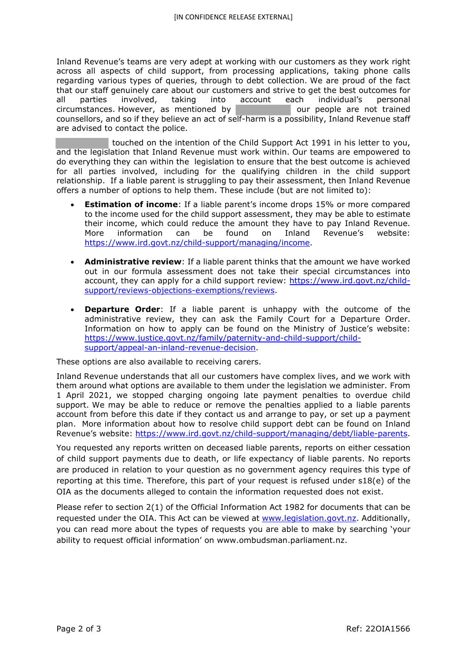Inland Revenue's teams are very adept at working with our customers as they work right across all aspects of child support, from processing applications, taking phone calls regarding various types of queries, through to debt collection. We are proud of the fact that our staff genuinely care about our customers and strive to get the best outcomes for<br>
all parties involved, taking into account each individual's personal all parties involved, taking into account each individual's personal circumstances. However, as mentioned by circumstances. However, as mentioned by  $\parallel$ counsellors, and so if they believe an act of self-harm is a possibility, Inland Revenue staff are advised to contact the police.

 touched on the intention of the Child Support Act 1991 in his letter to you, and the legislation that Inland Revenue must work within. Our teams are empowered to do everything they can within the legislation to ensure that the best outcome is achieved for all parties involved, including for the qualifying children in the child support relationship. If a liable parent is struggling to pay their assessment, then Inland Revenue offers a number of options to help them. These include (but are not limited to):

- **Estimation of income:** If a liable parent's income drops 15% or more compared to the income used for the child support assessment, they may be able to estimate their income, which could reduce the amount they have to pay Inland Revenue. More information can be found on Inland Revenue's website: [https://www.ird.govt.nz/child-support/managing/income.](https://www.ird.govt.nz/child-support/managing/income)
- **Administrative review**: If a liable parent thinks that the amount we have worked out in our formula assessment does not take their special circumstances into account, they can apply for a child support review: [https://www.ird.govt.nz/child](https://www.ird.govt.nz/child-support/reviews-objections-exemptions/reviews)[support/reviews-objections-exemptions/reviews.](https://www.ird.govt.nz/child-support/reviews-objections-exemptions/reviews)
- **Departure Order**: If a liable parent is unhappy with the outcome of the administrative review, they can ask the Family Court for a Departure Order. Information on how to apply can be found on the Ministry of Justice's website: [https://www.justice.govt.nz/family/paternity-and-child-support/child](https://www.justice.govt.nz/family/paternity-and-child-support/child-support/appeal-an-inland-revenue-decision)[support/appeal-an-inland-revenue-decision.](https://www.justice.govt.nz/family/paternity-and-child-support/child-support/appeal-an-inland-revenue-decision)

These options are also available to receiving carers.

Inland Revenue understands that all our customers have complex lives, and we work with them around what options are available to them under the legislation we administer. From 1 April 2021, we stopped charging ongoing late payment penalties to overdue child support. We may be able to reduce or remove the penalties applied to a liable parents account from before this date if they contact us and arrange to pay, or set up a payment plan. More information about how to resolve child support debt can be found on Inland Revenue's website: [https://www.ird.govt.nz/child-support/managing/debt/liable-parents.](https://www.ird.govt.nz/child-support/managing/debt/liable-parents)

You requested any reports written on deceased liable parents, reports on either cessation of child support payments due to death, or life expectancy of liable parents. No reports are produced in relation to your question as no government agency requires this type of reporting at this time. Therefore, this part of your request is refused under s18(e) of the OIA as the documents alleged to contain the information requested does not exist.

Please refer to section 2(1) of the Official Information Act 1982 for documents that can be requested under the OIA. This Act can be viewed at [www.legislation.govt.nz.](http://www.legislation.govt.nz/) Additionally, you can read more about the types of requests you are able to make by searching 'your ability to request official information' on www.ombudsman.parliament.nz.